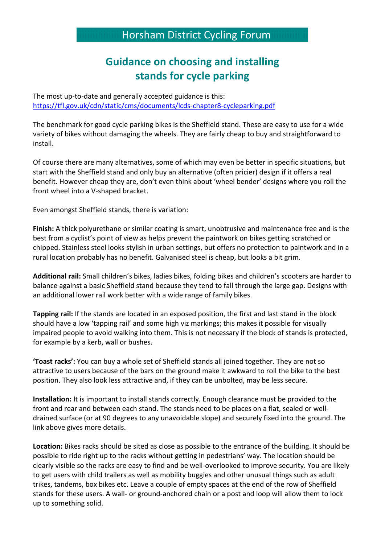## Horsham District Cycling Forum

## **Guidance on choosing and installing stands for cycle parking**

The most up-to-date and generally accepted guidance is this: <https://tfl.gov.uk/cdn/static/cms/documents/lcds-chapter8-cycleparking.pdf>

The benchmark for good cycle parking bikes is the Sheffield stand. These are easy to use for a wide variety of bikes without damaging the wheels. They are fairly cheap to buy and straightforward to install.

Of course there are many alternatives, some of which may even be better in specific situations, but start with the Sheffield stand and only buy an alternative (often pricier) design if it offers a real benefit. However cheap they are, don't even think about 'wheel bender' designs where you roll the front wheel into a V-shaped bracket.

Even amongst Sheffield stands, there is variation:

**Finish:** A thick polyurethane or similar coating is smart, unobtrusive and maintenance free and is the best from a cyclist's point of view as helps prevent the paintwork on bikes getting scratched or chipped. Stainless steel looks stylish in urban settings, but offers no protection to paintwork and in a rural location probably has no benefit. Galvanised steel is cheap, but looks a bit grim.

**Additional rail:** Small children's bikes, ladies bikes, folding bikes and children's scooters are harder to balance against a basic Sheffield stand because they tend to fall through the large gap. Designs with an additional lower rail work better with a wide range of family bikes.

**Tapping rail:** If the stands are located in an exposed position, the first and last stand in the block should have a low 'tapping rail' and some high viz markings; this makes it possible for visually impaired people to avoid walking into them. This is not necessary if the block of stands is protected, for example by a kerb, wall or bushes.

**'Toast racks':** You can buy a whole set of Sheffield stands all joined together. They are not so attractive to users because of the bars on the ground make it awkward to roll the bike to the best position. They also look less attractive and, if they can be unbolted, may be less secure.

**Installation:** It is important to install stands correctly. Enough clearance must be provided to the front and rear and between each stand. The stands need to be places on a flat, sealed or welldrained surface (or at 90 degrees to any unavoidable slope) and securely fixed into the ground. The link above gives more details.

**Location:** Bikes racks should be sited as close as possible to the entrance of the building. It should be possible to ride right up to the racks without getting in pedestrians' way. The location should be clearly visible so the racks are easy to find and be well-overlooked to improve security. You are likely to get users with child trailers as well as mobility buggies and other unusual things such as adult trikes, tandems, box bikes etc. Leave a couple of empty spaces at the end of the row of Sheffield stands for these users. A wall- or ground-anchored chain or a post and loop will allow them to lock up to something solid.